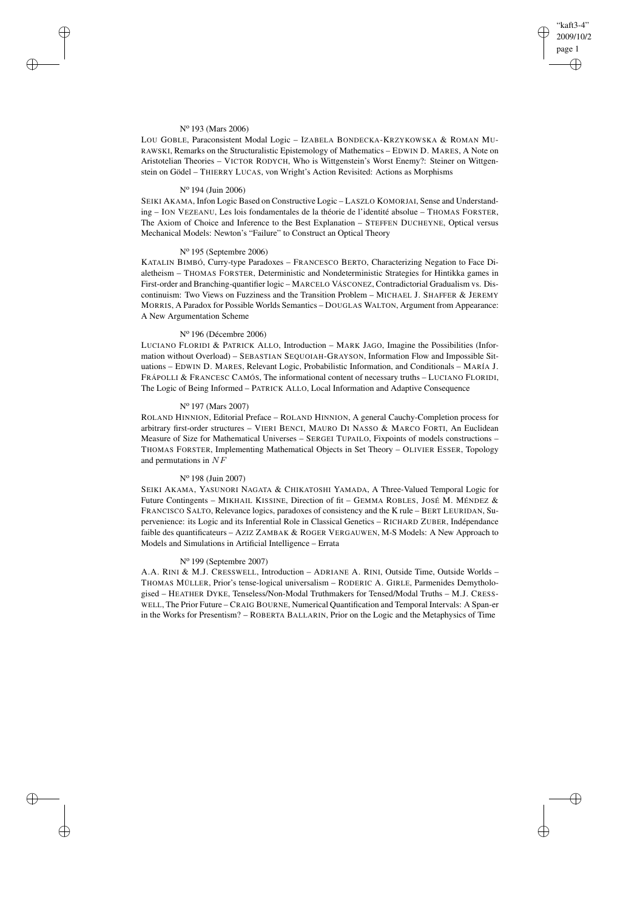✐

✐

#### N<sup>o</sup> 193 (Mars 2006)

✐

✐

✐

✐

LOU GOBLE, Paraconsistent Modal Logic – IZABELA BONDECKA-KRZYKOWSKA & ROMAN MU-RAWSKI, Remarks on the Structuralistic Epistemology of Mathematics – EDWIN D. MARES, A Note on Aristotelian Theories – VICTOR RODYCH, Who is Wittgenstein's Worst Enemy?: Steiner on Wittgenstein on Gödel – THIERRY LUCAS, von Wright's Action Revisited: Actions as Morphisms

#### N<sup>o</sup> 194 (Juin 2006)

SEIKI AKAMA, Infon Logic Based on Constructive Logic – LASZLO KOMORJAI, Sense and Understanding – ION VEZEANU, Les lois fondamentales de la théorie de l'identité absolue – THOMAS FORSTER, The Axiom of Choice and Inference to the Best Explanation – STEFFEN DUCHEYNE, Optical versus Mechanical Models: Newton's "Failure" to Construct an Optical Theory

#### N<sup>o</sup> 195 (Septembre 2006)

KATALIN BIMBÓ, Curry-type Paradoxes – FRANCESCO BERTO, Characterizing Negation to Face Dialetheism – THOMAS FORSTER, Deterministic and Nondeterministic Strategies for Hintikka games in First-order and Branching-quantifier logic – MARCELO VÁSCONEZ, Contradictorial Gradualism vs. Discontinuism: Two Views on Fuzziness and the Transition Problem – MICHAEL J. SHAFFER & JEREMY MORRIS, A Paradox for Possible Worlds Semantics – DOUGLAS WALTON, Argument from Appearance: A New Argumentation Scheme

# N<sup>o</sup> 196 (Décembre 2006)

LUCIANO FLORIDI & PATRICK ALLO, Introduction – MARK JAGO, Imagine the Possibilities (Information without Overload) – SEBASTIAN SEQUOIAH-GRAYSON, Information Flow and Impossible Situations – EDWIN D. MARES, Relevant Logic, Probabilistic Information, and Conditionals – MARÍA J. FRÁPOLLI & FRANCESC CAMÓS, The informational content of necessary truths – LUCIANO FLORIDI, The Logic of Being Informed – PATRICK ALLO, Local Information and Adaptive Consequence

## N<sup>o</sup> 197 (Mars 2007)

ROLAND HINNION, Editorial Preface – ROLAND HINNION, A general Cauchy-Completion process for arbitrary first-order structures – VIERI BENCI, MAURO DI NASSO & MARCO FORTI, An Euclidean Measure of Size for Mathematical Universes – SERGEI TUPAILO, Fixpoints of models constructions – THOMAS FORSTER, Implementing Mathematical Objects in Set Theory – OLIVIER ESSER, Topology and permutations in NF

## N<sup>o</sup> 198 (Juin 2007)

SEIKI AKAMA, YASUNORI NAGATA & CHIKATOSHI YAMADA, A Three-Valued Temporal Logic for Future Contingents – MIKHAIL KISSINE, Direction of fit – GEMMA ROBLES, JOSÉ M. MÉNDEZ & FRANCISCO SALTO, Relevance logics, paradoxes of consistency and the K rule – BERT LEURIDAN, Supervenience: its Logic and its Inferential Role in Classical Genetics – RICHARD ZUBER, Indépendance faible des quantificateurs – AZIZ ZAMBAK & ROGER VERGAUWEN, M-S Models: A New Approach to Models and Simulations in Artificial Intelligence – Errata

### N<sup>o</sup> 199 (Septembre 2007)

A.A. RINI & M.J. CRESSWELL, Introduction – ADRIANE A. RINI, Outside Time, Outside Worlds – THOMAS MÜLLER, Prior's tense-logical universalism – RODERIC A. GIRLE, Parmenides Demythologised – HEATHER DYKE, Tenseless/Non-Modal Truthmakers for Tensed/Modal Truths – M.J. CRESS-WELL, The Prior Future – CRAIG BOURNE, Numerical Quantification and Temporal Intervals: A Span-er in the Works for Presentism? – ROBERTA BALLARIN, Prior on the Logic and the Metaphysics of Time